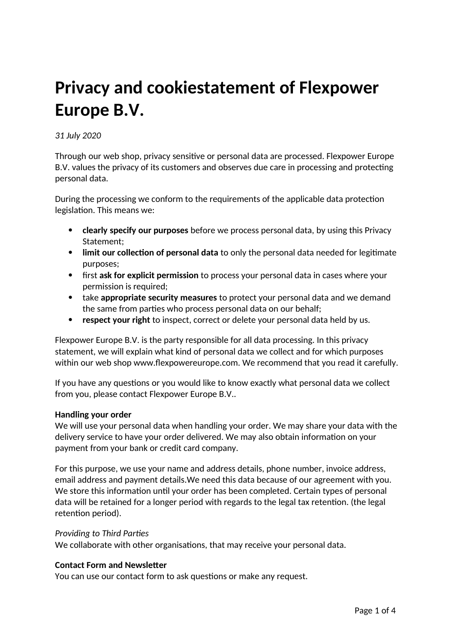# **Privacy and cookiestatement of Flexpower Europe B.V.**

# *31 July 2020*

Through our web shop, privacy sensitive or personal data are processed. Flexpower Europe B.V. values the privacy of its customers and observes due care in processing and protecting personal data.

During the processing we conform to the requirements of the applicable data protection legislation. This means we:

- **clearly specify our purposes** before we process personal data, by using this Privacy Statement;
- **limit our collection of personal data** to only the personal data needed for legitimate purposes;
- first **ask for explicit permission** to process your personal data in cases where your permission is required;
- take **appropriate security measures** to protect your personal data and we demand the same from parties who process personal data on our behalf;
- **respect your right** to inspect, correct or delete your personal data held by us.

Flexpower Europe B.V. is the party responsible for all data processing. In this privacy statement, we will explain what kind of personal data we collect and for which purposes within our web shop www.flexpowereurope.com. We recommend that you read it carefully.

If you have any questions or you would like to know exactly what personal data we collect from you, please contact Flexpower Europe B.V..

# **Handling your order**

We will use your personal data when handling your order. We may share your data with the delivery service to have your order delivered. We may also obtain information on your payment from your bank or credit card company.

For this purpose, we use your name and address details, phone number, invoice address, email address and payment details.We need this data because of our agreement with you. We store this information until your order has been completed. Certain types of personal data will be retained for a longer period with regards to the legal tax retention. (the legal retention period).

## *Providing to Third Parties*

We collaborate with other organisations, that may receive your personal data.

## **Contact Form and Newsletter**

You can use our contact form to ask questions or make any request.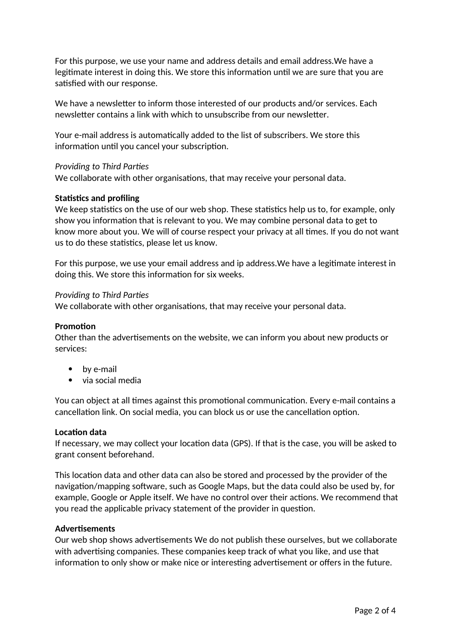For this purpose, we use your name and address details and email address.We have a legitimate interest in doing this. We store this information until we are sure that you are satisfied with our response.

We have a newsletter to inform those interested of our products and/or services. Each newsletter contains a link with which to unsubscribe from our newsletter.

Your e-mail address is automatically added to the list of subscribers. We store this information until you cancel your subscription.

## *Providing to Third Parties*

We collaborate with other organisations, that may receive your personal data.

# **Statistics and profiling**

We keep statistics on the use of our web shop. These statistics help us to, for example, only show you information that is relevant to you. We may combine personal data to get to know more about you. We will of course respect your privacy at all times. If you do not want us to do these statistics, please let us know.

For this purpose, we use your email address and ip address.We have a legitimate interest in doing this. We store this information for six weeks.

## *Providing to Third Parties*

We collaborate with other organisations, that may receive your personal data.

## **Promotion**

Other than the advertisements on the website, we can inform you about new products or services:

- by e-mail
- via social media

You can object at all times against this promotional communication. Every e-mail contains a cancellation link. On social media, you can block us or use the cancellation option.

#### **Location data**

If necessary, we may collect your location data (GPS). If that is the case, you will be asked to grant consent beforehand.

This location data and other data can also be stored and processed by the provider of the navigation/mapping software, such as Google Maps, but the data could also be used by, for example, Google or Apple itself. We have no control over their actions. We recommend that you read the applicable privacy statement of the provider in question.

#### **Advertisements**

Our web shop shows advertisements We do not publish these ourselves, but we collaborate with advertising companies. These companies keep track of what you like, and use that information to only show or make nice or interesting advertisement or offers in the future.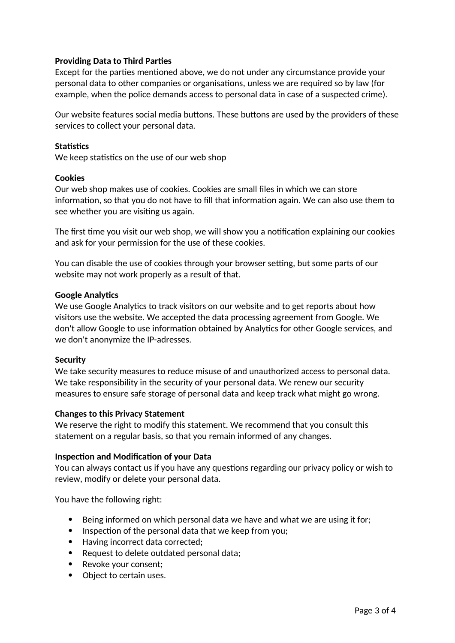# **Providing Data to Third Parties**

Except for the parties mentioned above, we do not under any circumstance provide your personal data to other companies or organisations, unless we are required so by law (for example, when the police demands access to personal data in case of a suspected crime).

Our website features social media buttons. These buttons are used by the providers of these services to collect your personal data.

## **Statistics**

We keep statistics on the use of our web shop

#### **Cookies**

Our web shop makes use of cookies. Cookies are small files in which we can store information, so that you do not have to fill that information again. We can also use them to see whether you are visiting us again.

The first time you visit our web shop, we will show you a notification explaining our cookies and ask for your permission for the use of these cookies.

You can disable the use of cookies through your browser setting, but some parts of our website may not work properly as a result of that.

#### **Google Analytics**

We use Google Analytics to track visitors on our website and to get reports about how visitors use the website. We accepted the data processing agreement from Google. We don't allow Google to use information obtained by Analytics for other Google services, and we don't anonymize the IP-adresses.

## **Security**

We take security measures to reduce misuse of and unauthorized access to personal data. We take responsibility in the security of your personal data. We renew our security measures to ensure safe storage of personal data and keep track what might go wrong.

## **Changes to this Privacy Statement**

We reserve the right to modify this statement. We recommend that you consult this statement on a regular basis, so that you remain informed of any changes.

#### **Inspection and Modification of your Data**

You can always contact us if you have any questions regarding our privacy policy or wish to review, modify or delete your personal data.

You have the following right:

- **Being informed on which personal data we have and what we are using it for;**
- Inspection of the personal data that we keep from you;
- Having incorrect data corrected;
- Request to delete outdated personal data;
- Revoke your consent;
- Object to certain uses.